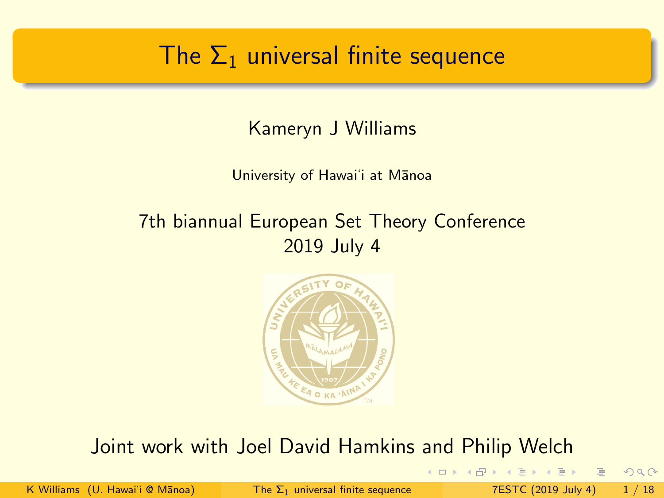## <span id="page-0-0"></span>The  $\Sigma_1$  universal finite sequence

Kameryn J Williams

University of Hawai'i at Manoa

#### 7th biannual European Set Theory Conference 2019 July 4



#### Joint work with Joel David Hamkins and Philip Welch

4 0 1 → 母

K Williams (U. Hawai'i @ Mānoa) The  $\Sigma_1$  [universal finite sequence](#page-61-0) 7ESTC (2019 July 4) 1 / 18

E.

 $QQ$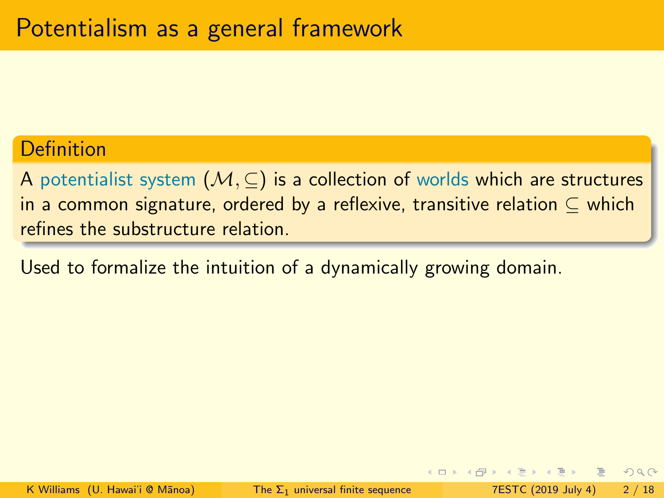#### Definition

A potentialist system  $(M, \subseteq)$  is a collection of worlds which are structures in a common signature, ordered by a reflexive, transitive relation  $\subset$  which refines the substructure relation.

Used to formalize the intuition of a dynamically growing domain.

 $\Omega$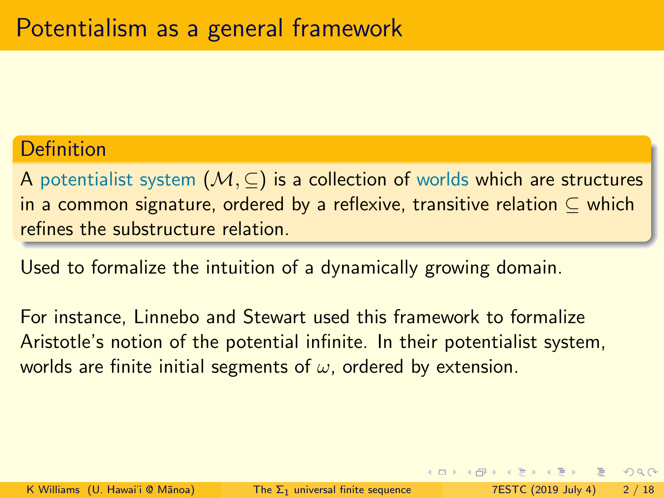#### Definition

A potentialist system  $(M, \subseteq)$  is a collection of worlds which are structures in a common signature, ordered by a reflexive, transitive relation ⊆ which refines the substructure relation.

Used to formalize the intuition of a dynamically growing domain.

For instance, Linnebo and Stewart used this framework to formalize Aristotle's notion of the potential infinite. In their potentialist system, worlds are finite initial segments of  $\omega$ , ordered by extension.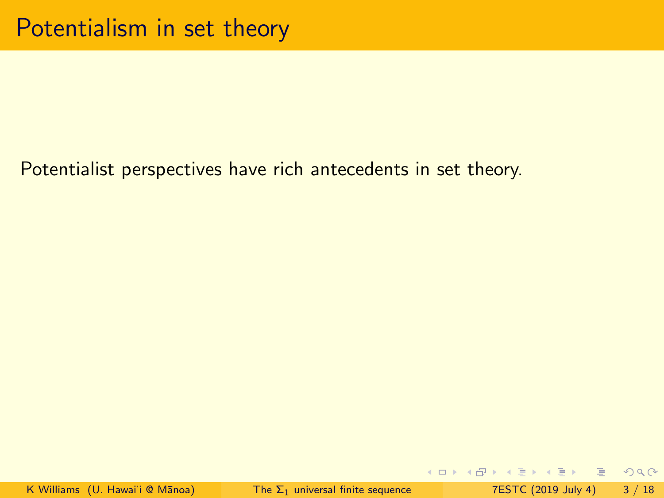K ロ ▶ K 個 ▶ K ミ ▶ K ミ ▶ │ ミ │ K 9 Q Q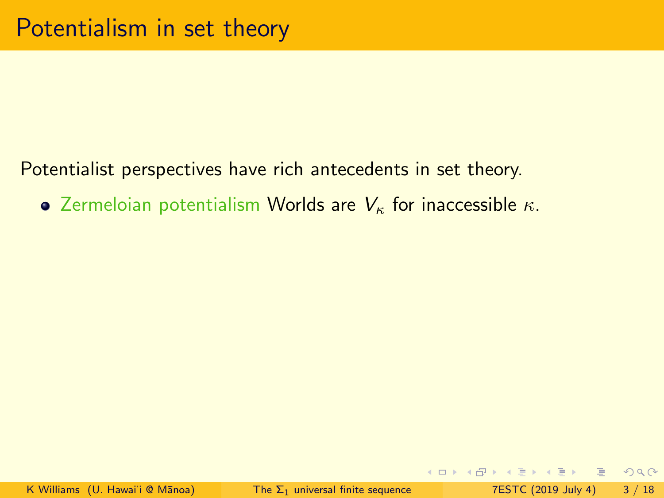• Zermeloian potentialism Worlds are  $V_{\kappa}$  for inaccessible  $\kappa$ .

**KOD KARD KED KED ARA**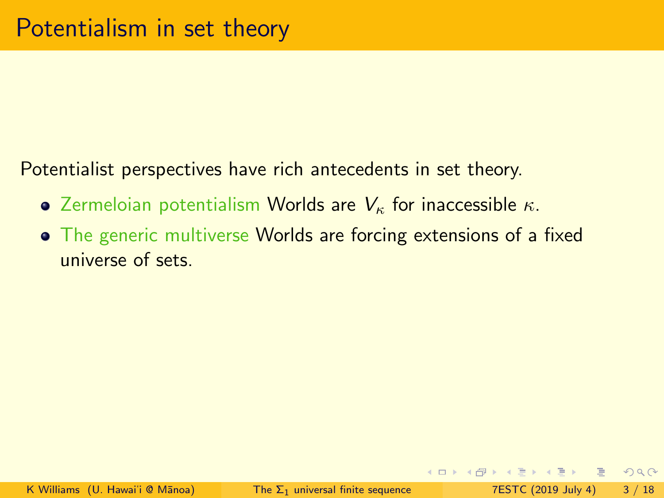- Zermeloian potentialism Worlds are  $V_{\kappa}$  for inaccessible  $\kappa$ .
- The generic multiverse Worlds are forcing extensions of a fixed universe of sets.

KEL KALE KEL KEL EL YOKA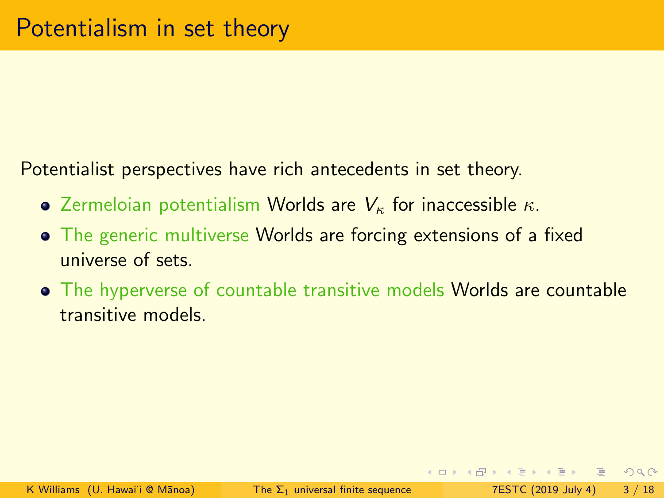- Zermeloian potentialism Worlds are  $V_{\kappa}$  for inaccessible  $\kappa$ .
- The generic multiverse Worlds are forcing extensions of a fixed universe of sets.
- The hyperverse of countable transitive models Worlds are countable transitive models.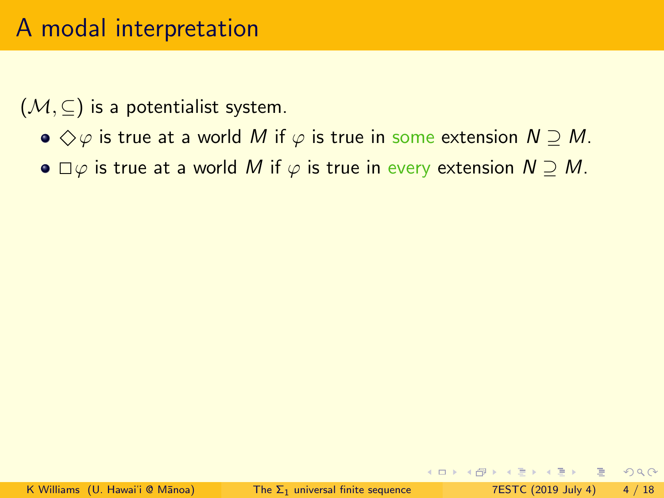# A modal interpretation

 $(\mathcal{M}, \subseteq)$  is a potentialist system.

- $\bullet \Diamond \varphi$  is true at a world M if  $\varphi$  is true in some extension  $N \supseteq M$ .
- $\bullet \Box \varphi$  is true at a world M if  $\varphi$  is true in every extension  $N \supset M$ .

KEL KALE KEL KEL EL YOKA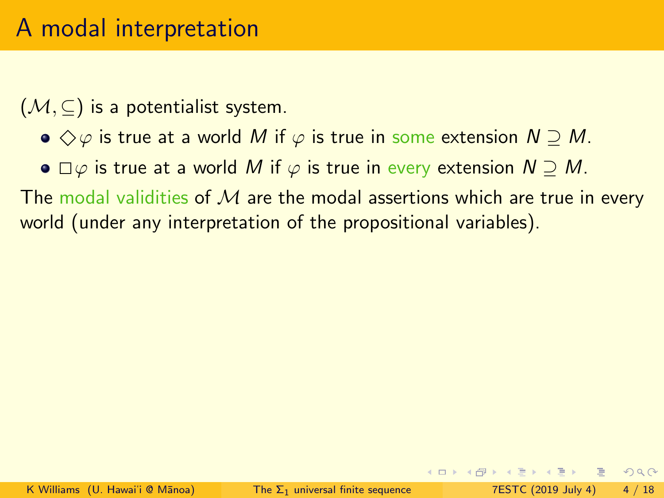# A modal interpretation

 $(\mathcal{M}, \subseteq)$  is a potentialist system.

- $\bullet \Diamond \varphi$  is true at a world M if  $\varphi$  is true in some extension  $N \supset M$ .
- $\bullet \Box \varphi$  is true at a world M if  $\varphi$  is true in every extension  $N \supset M$ .

The modal validities of  $M$  are the modal assertions which are true in every world (under any interpretation of the propositional variables).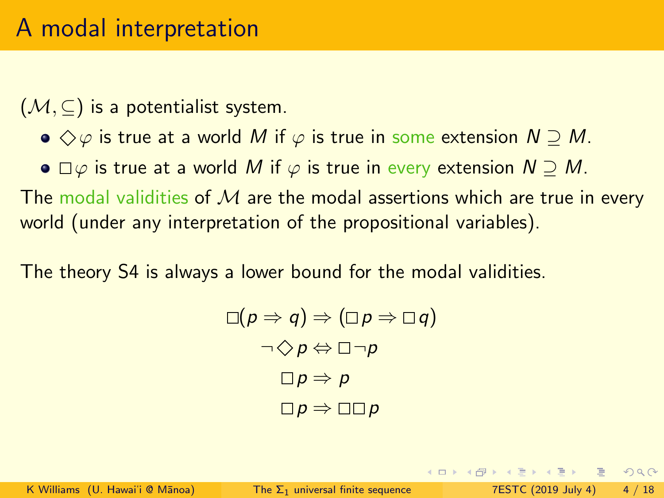$(\mathcal{M}, \subseteq)$  is a potentialist system.

- $\bullet \Diamond \varphi$  is true at a world M if  $\varphi$  is true in some extension  $N \supset M$ .
- $\bullet \Box \varphi$  is true at a world M if  $\varphi$  is true in every extension  $N \supset M$ .

The modal validities of  $M$  are the modal assertions which are true in every world (under any interpretation of the propositional variables).

The theory S4 is always a lower bound for the modal validities.

$$
\Box(p \Rightarrow q) \Rightarrow (\Box p \Rightarrow \Box q)
$$
  
\n
$$
\neg \Diamond p \Leftrightarrow \Box \neg p
$$
  
\n
$$
\Box p \Rightarrow p
$$
  
\n
$$
\Box p \Rightarrow \Box \Box p
$$

KEL KALEYKEN E YAN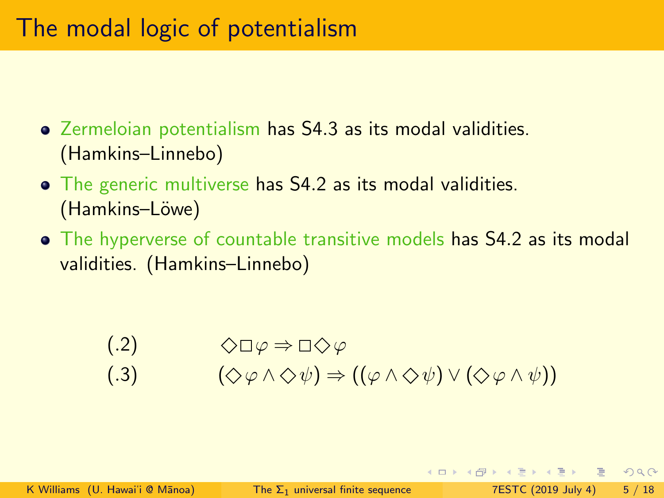# The modal logic of potentialism

- Zermeloian potentialism has S4.3 as its modal validities. (Hamkins–Linnebo)
- The generic multiverse has S4.2 as its modal validities. (Hamkins–Löwe)
- The hyperverse of countable transitive models has S4.2 as its modal validities. (Hamkins–Linnebo)

$$
(.2) \qquad \qquad \Diamond \Box \varphi \Rightarrow \Box \Diamond \varphi
$$

$$
(0.3) \qquad (\diamondsuit \varphi \land \diamondsuit \psi) \Rightarrow ((\varphi \land \diamondsuit \psi) \lor (\diamondsuit \varphi \land \psi))
$$

 $\Omega$ 

4 ロ > 4 何 > 4 ミ > 4 ミ > ニョ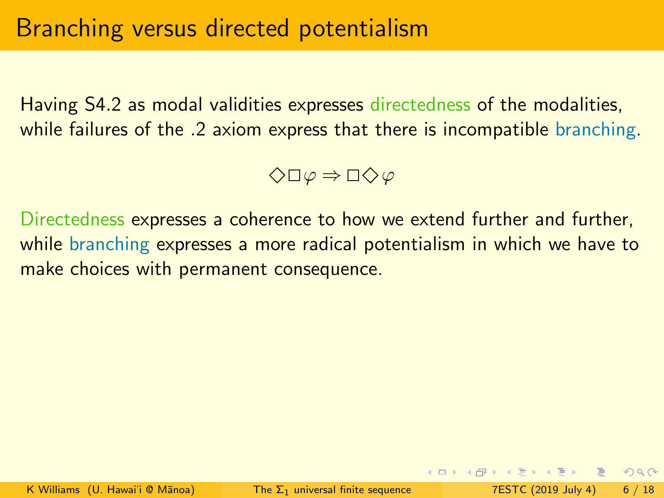Having S4.2 as modal validities expresses directedness of the modalities, while failures of the .2 axiom express that there is incompatible branching.

$$
\diamondsuit\Box\,\varphi\Rightarrow\Box\diamondsuit\,\varphi
$$

Directedness expresses a coherence to how we extend further and further, while branching expresses a more radical potentialism in which we have to make choices with permanent consequence.

 $\Omega$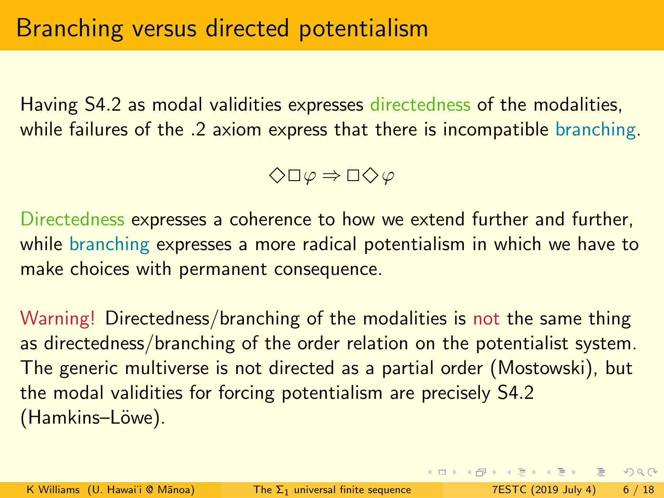Having S4.2 as modal validities expresses directedness of the modalities, while failures of the .2 axiom express that there is incompatible branching.

 $\Diamond$ ロ $\varphi \Rightarrow$  ロ $\Diamond \varphi$ 

Directedness expresses a coherence to how we extend further and further, while branching expresses a more radical potentialism in which we have to make choices with permanent consequence.

Warning! Directedness/branching of the modalities is not the same thing as directedness/branching of the order relation on the potentialist system. The generic multiverse is not directed as a partial order (Mostowski), but the modal validities for forcing potentialism are precisely S4.2 (Hamkins–Löwe).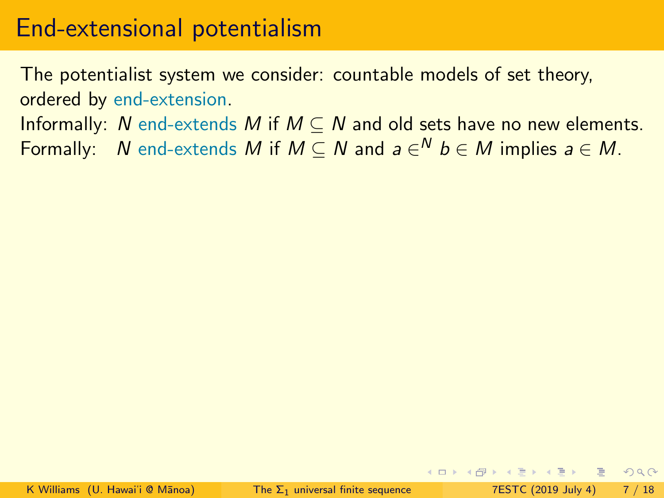The potentialist system we consider: countable models of set theory, ordered by end-extension.

Informally: N end-extends M if  $M \subset N$  and old sets have no new elements. Formally:  $\;$  N end-extends  $M$  if  $M \subseteq N$  and  $a \in^N b \in M$  implies  $a \in M.$ 

 $E^*$   $A^*$   $E^*$   $B^*$   $C^*$   $D^*$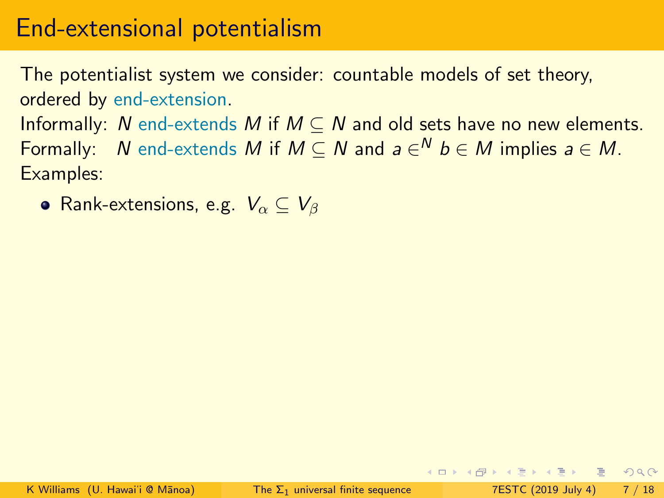The potentialist system we consider: countable models of set theory, ordered by end-extension.

Informally: N end-extends M if  $M \subset N$  and old sets have no new elements. Formally:  $\;$  N end-extends  $M$  if  $M \subseteq N$  and  $a \in^N b \in M$  implies  $a \in M.$ Examples:

• Rank-extensions, e.g.  $V_{\alpha} \subseteq V_{\beta}$ 

KEL KALE KEL KEL EL YOKA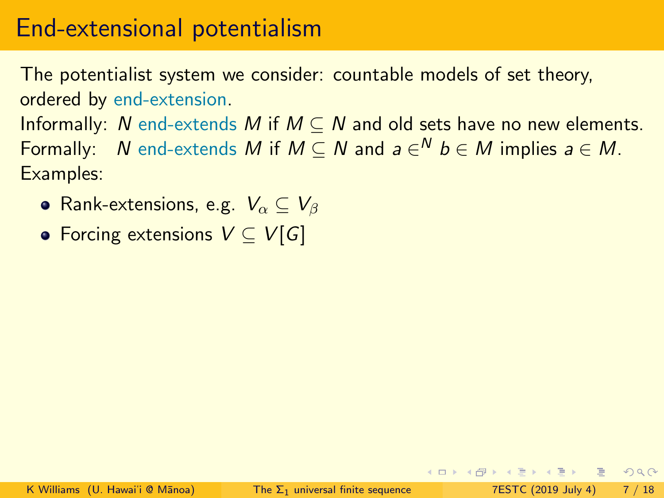The potentialist system we consider: countable models of set theory, ordered by end-extension.

Informally: N end-extends M if  $M \subset N$  and old sets have no new elements. Formally:  $\;$  N end-extends  $M$  if  $M \subseteq N$  and  $a \in^N b \in M$  implies  $a \in M.$ Examples:

- Rank-extensions, e.g.  $V_{\alpha} \subseteq V_{\beta}$
- Forcing extensions  $V \subset V[G]$

 $E^*$   $A^*$   $E^*$   $B^*$   $C^*$   $D^*$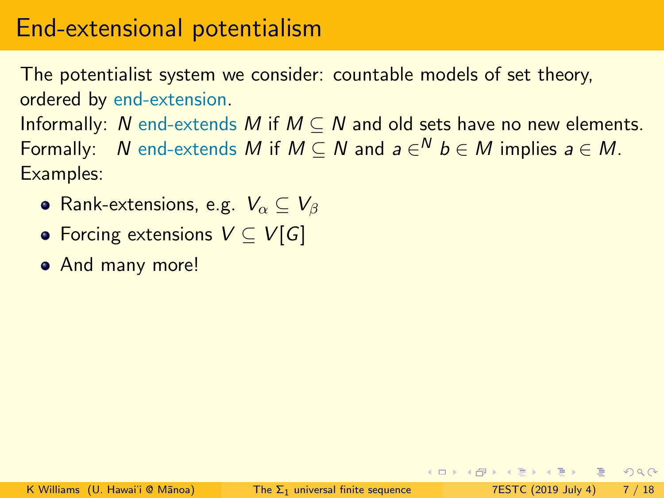The potentialist system we consider: countable models of set theory, ordered by end-extension.

Informally: N end-extends M if  $M \subset N$  and old sets have no new elements. Formally:  $\;$  N end-extends  $M$  if  $M \subseteq N$  and  $a \in^N b \in M$  implies  $a \in M.$ Examples:

- Rank-extensions, e.g.  $V_{\alpha} \subseteq V_{\beta}$
- Forcing extensions  $V \subset V[G]$
- And many more!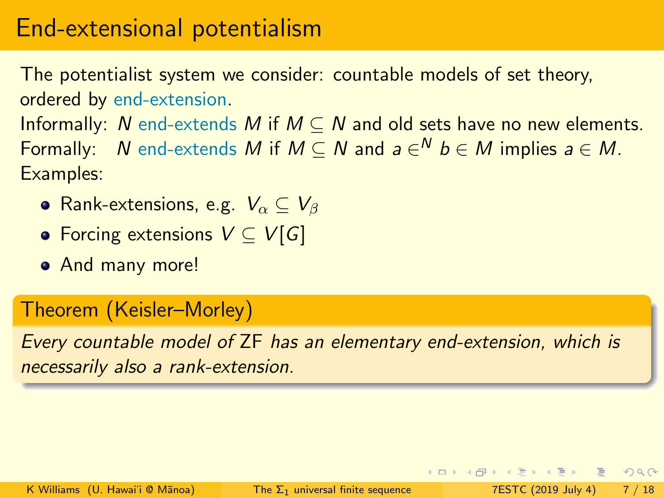The potentialist system we consider: countable models of set theory, ordered by end-extension.

Informally: N end-extends M if  $M \subset N$  and old sets have no new elements. Formally:  $\;$  N end-extends  $M$  if  $M \subseteq N$  and  $a \in^N b \in M$  implies  $a \in M.$ Examples:

- Rank-extensions, e.g.  $V_{\alpha} \subseteq V_{\beta}$
- Forcing extensions  $V \subseteq V[G]$
- And many more!

#### Theorem (Keisler–Morley)

Every countable model of ZF has an elementary end-extension, which is necessarily also a rank-extension.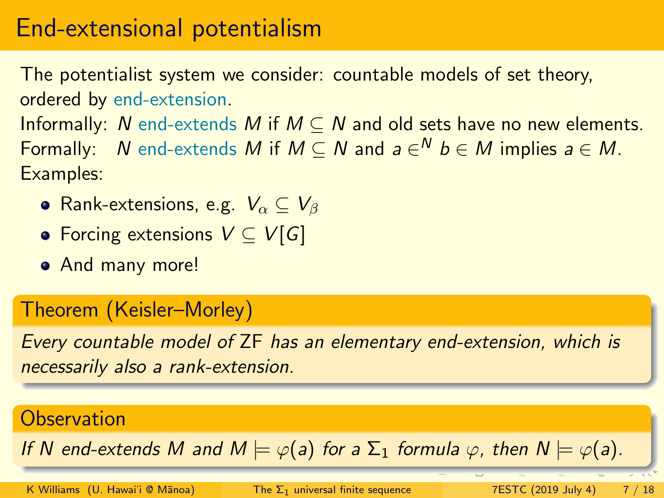The potentialist system we consider: countable models of set theory, ordered by end-extension.

Informally: N end-extends M if  $M \subset N$  and old sets have no new elements. Formally:  $\;$  N end-extends  $M$  if  $M \subseteq N$  and  $a \in^N b \in M$  implies  $a \in M.$ Examples:

- Rank-extensions, e.g.  $V_{\alpha} \subseteq V_{\beta}$
- Forcing extensions  $V \subset V[G]$
- And many more!

#### Theorem (Keisler–Morley)

Every countable model of ZF has an elementary end-extension, which is necessarily also a rank-extension.

#### **Observation**

If N end-extends M and  $M \models \varphi(a)$  for a  $\Sigma_1$  formula  $\varphi$ , then  $N \models \varphi(a)$ .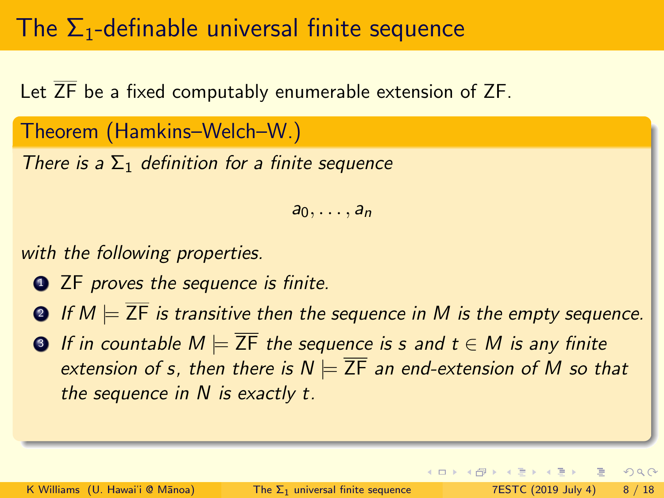# The  $\Sigma_1$ -definable universal finite sequence

Let  $\overline{ZF}$  be a fixed computably enumerable extension of ZF.

Theorem (Hamkins–Welch–W.)

There is a  $\Sigma_1$  definition for a finite sequence

 $a_0, \ldots, a_n$ 

with the following properties.

- **1 2F** proves the sequence is finite.
- **2** If  $M \models \overline{ZF}$  is transitive then the sequence in M is the empty sequence.
- **3** If in countable  $M \models \overline{ZF}$  the sequence is s and  $t \in M$  is any finite extension of s, then there is  $N \models \overline{ZF}$  an end-extension of M so that the sequence in  $N$  is exactly  $t$ .

 $\equiv$ 

 $QQ$ 

ヨメ メヨメ

**4 ロ ▶ 4 包 ▶ 4**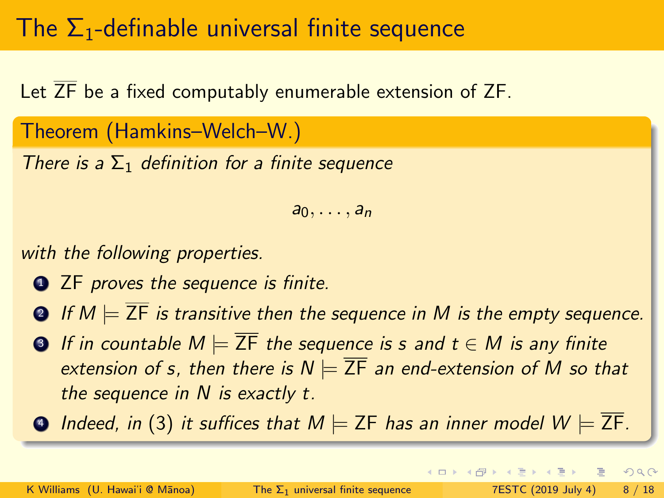# The  $\Sigma_1$ -definable universal finite sequence

Let  $\overline{ZF}$  be a fixed computably enumerable extension of ZF.

Theorem (Hamkins–Welch–W.)

There is a  $\Sigma_1$  definition for a finite sequence

 $a_0, \ldots, a_n$ 

with the following properties.

- **1 2F** proves the sequence is finite.
- **2** If  $M \models \overline{ZF}$  is transitive then the sequence in M is the empty sequence.
- **3** If in countable  $M \models \overline{ZF}$  the sequence is s and  $t \in M$  is any finite extension of s, then there is  $N \models \overline{ZF}$  an end-extension of M so that the sequence in N is exactly t.
- $\bigcirc$  Indeed, in (3) it suffices that  $M \models$  ZF has an inner model  $W \models \overline{\mathsf{ZF}}$ .

 $QQ$ 

 $\mathbf{A} \square \rightarrow \mathbf{A} \square \rightarrow \mathbf{A} \square \rightarrow \mathbf{A} \square \rightarrow \mathbf{A} \square \rightarrow \mathbf{A} \square \rightarrow \mathbf{A} \square \rightarrow \mathbf{A} \square \rightarrow \mathbf{A} \square \rightarrow \mathbf{A} \square \rightarrow \mathbf{A} \square \rightarrow \mathbf{A} \square \rightarrow \mathbf{A} \square \rightarrow \mathbf{A} \square \rightarrow \mathbf{A} \square \rightarrow \mathbf{A} \square \rightarrow \mathbf{A} \square \rightarrow \mathbf{A} \square \rightarrow \mathbf{A} \square \rightarrow \mathbf{A} \square \rightarrow \mathbf{A} \square \rightarrow \mathbf{A} \square \rightarrow$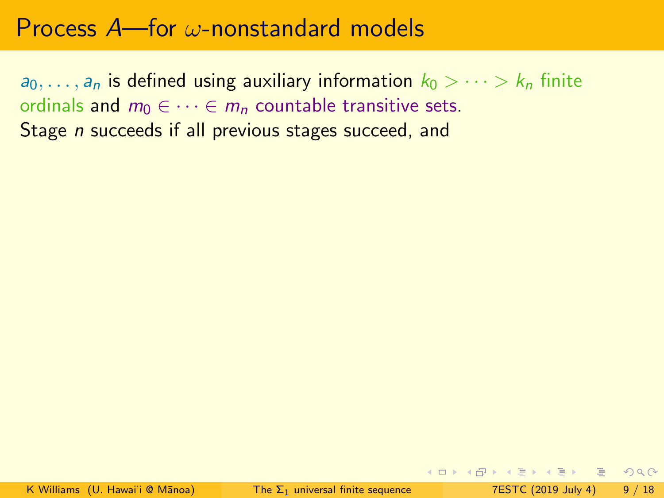$a_0, \ldots, a_n$  is defined using auxiliary information  $k_0 > \cdots > k_n$  finite ordinals and  $m_0 \in \cdots \in m_n$  countable transitive sets. Stage *n* succeeds if all previous stages succeed, and

**KOD KARD KED KED ARA**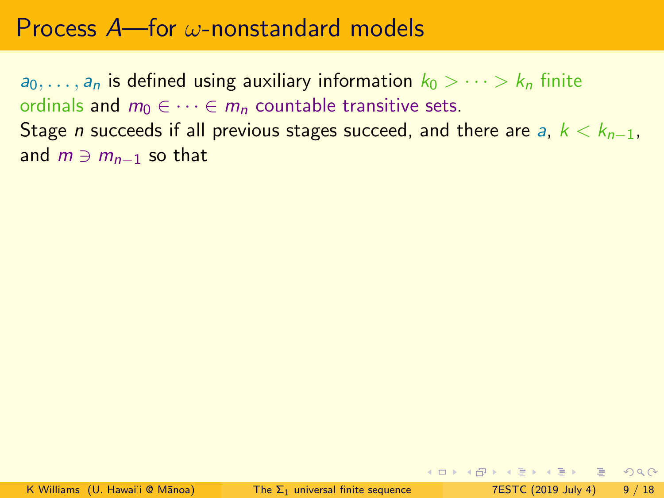$a_0, \ldots, a_n$  is defined using auxiliary information  $k_0 > \cdots > k_n$  finite ordinals and  $m_0 \in \cdots \in m_n$  countable transitive sets. Stage *n* succeeds if all previous stages succeed, and there are a,  $k < k_{n-1}$ , and  $m \ni m_{n-1}$  so that

K ロ ▶ K 個 ▶ K ミ ▶ K ミ ▶ │ ミ │ K 9 Q Q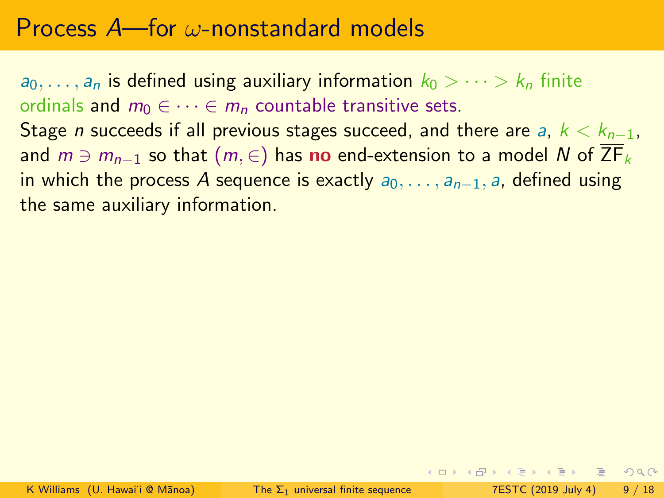$a_0, \ldots, a_n$  is defined using auxiliary information  $k_0 > \cdots > k_n$  finite ordinals and  $m_0 \in \cdots \in m_n$  countable transitive sets. Stage *n* succeeds if all previous stages succeed, and there are a,  $k < k_{n-1}$ , and  $m \ni m_{n-1}$  so that  $(m, \in)$  has no end-extension to a model N of  $\overline{ZF}_k$ in which the process A sequence is exactly  $a_0, \ldots, a_{n-1}$ , a, defined using the same auxiliary information.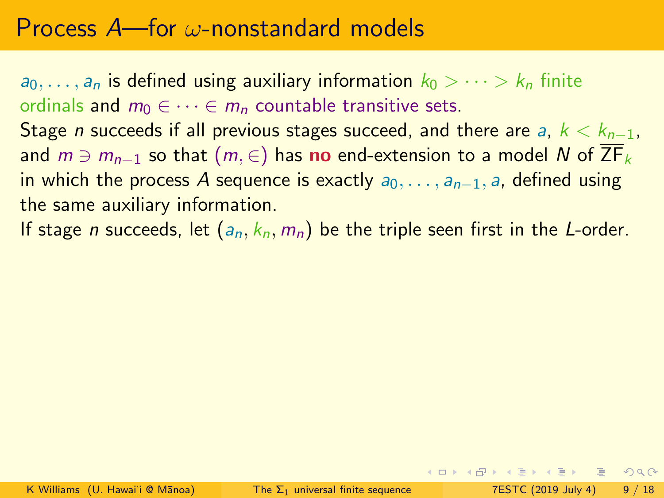$a_0, \ldots, a_n$  is defined using auxiliary information  $k_0 > \cdots > k_n$  finite ordinals and  $m_0 \in \cdots \in m_n$  countable transitive sets. Stage *n* succeeds if all previous stages succeed, and there are a,  $k < k_{n-1}$ , and  $m \ni m_{n-1}$  so that  $(m, \in)$  has no end-extension to a model N of  $\overline{ZF}_k$ in which the process A sequence is exactly  $a_0, \ldots, a_{n-1}$ , a, defined using the same auxiliary information.

If stage *n* succeeds, let  $(a_n, k_n, m_n)$  be the triple seen first in the *L*-order.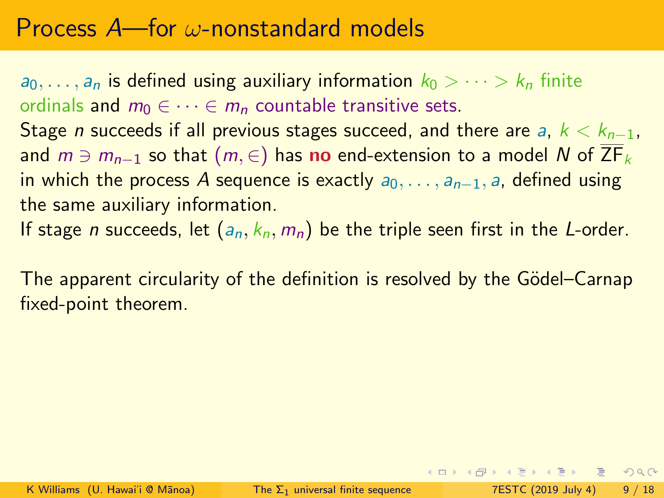$a_0, \ldots, a_n$  is defined using auxiliary information  $k_0 > \cdots > k_n$  finite ordinals and  $m_0 \in \cdots \in m_n$  countable transitive sets. Stage *n* succeeds if all previous stages succeed, and there are a,  $k < k_{n-1}$ , and  $m \ni m_{n-1}$  so that  $(m, \in)$  has no end-extension to a model N of  $\overline{ZF}_k$ in which the process A sequence is exactly  $a_0, \ldots, a_{n-1}$ , a, defined using the same auxiliary information.

If stage *n* succeeds, let  $(a_n, k_n, m_n)$  be the triple seen first in the *L*-order.

The apparent circularity of the definition is resolved by the Gödel–Carnap fixed-point theorem.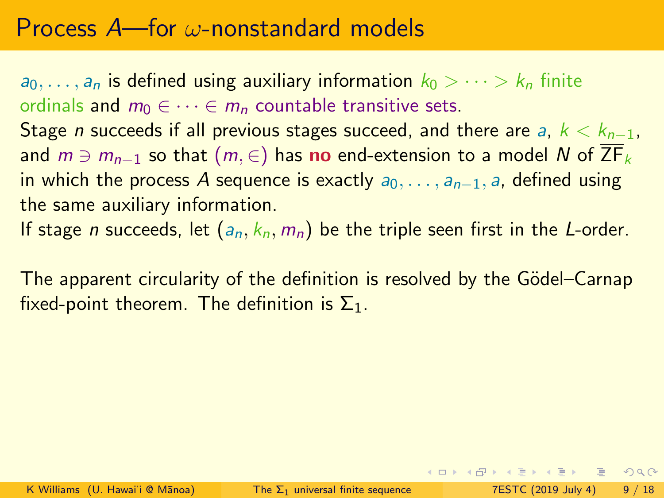$a_0, \ldots, a_n$  is defined using auxiliary information  $k_0 > \cdots > k_n$  finite ordinals and  $m_0 \in \cdots \in m_n$  countable transitive sets. Stage *n* succeeds if all previous stages succeed, and there are a,  $k < k_{n-1}$ , and  $m \ni m_{n-1}$  so that  $(m, \in)$  has no end-extension to a model N of  $\overline{ZF}_k$ in which the process A sequence is exactly  $a_0, \ldots, a_{n-1}$ , a, defined using the same auxiliary information.

If stage *n* succeeds, let  $(a_n, k_n, m_n)$  be the triple seen first in the *L*-order.

The apparent circularity of the definition is resolved by the Gödel–Carnap fixed-point theorem. The definition is  $\Sigma_1$ .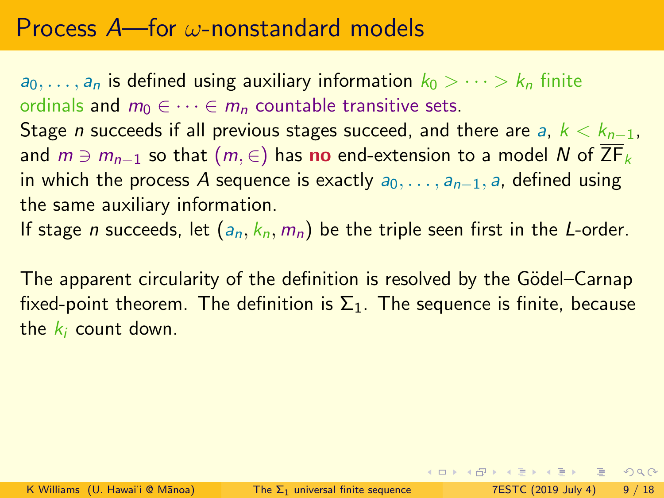$a_0, \ldots, a_n$  is defined using auxiliary information  $k_0 > \cdots > k_n$  finite ordinals and  $m_0 \in \cdots \in m_n$  countable transitive sets. Stage *n* succeeds if all previous stages succeed, and there are a,  $k < k_{n-1}$ , and  $m \ni m_{n-1}$  so that  $(m, \in)$  has no end-extension to a model N of  $\overline{ZF}_k$ in which the process A sequence is exactly  $a_0, \ldots, a_{n-1}$ , a, defined using the same auxiliary information.

If stage *n* succeeds, let  $(a_n, k_n, m_n)$  be the triple seen first in the *L*-order.

The apparent circularity of the definition is resolved by the Gödel-Carnap fixed-point theorem. The definition is  $\Sigma_1$ . The sequence is finite, because the  $k_i$  count down.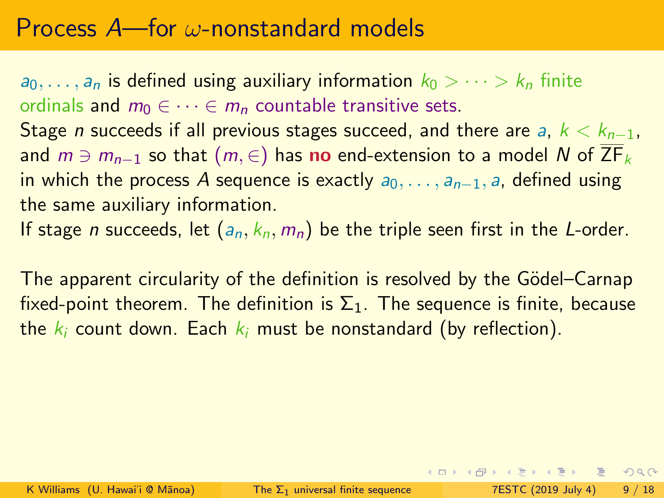<span id="page-28-0"></span> $a_0, \ldots, a_n$  is defined using auxiliary information  $k_0 > \cdots > k_n$  finite ordinals and  $m_0 \in \cdots \in m_n$  countable transitive sets. Stage *n* succeeds if all previous stages succeed, and there are a,  $k < k_{n-1}$ , and  $m \ni m_{n-1}$  so that  $(m, \in)$  has no end-extension to a model N of  $\overline{ZF}_k$ in which the process A sequence is exactly  $a_0, \ldots, a_{n-1}$ , a, defined using the same auxiliary information.

If stage *n* succeeds, let  $(a_n, k_n, m_n)$  be the triple seen first in the *L*-order.

The apparent circularity of the definition is resolved by the Gödel-Carnap fixed-point theorem. The definition is  $\Sigma_1$ . The sequence is finite, because the  $k_i$  count down. Each  $k_i$  must be nonstandard (by reflection).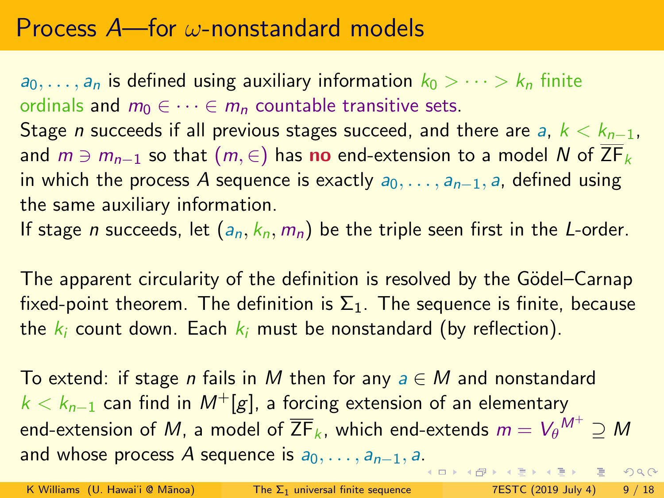$a_0, \ldots, a_n$  is defined using auxiliary information  $k_0 > \cdots > k_n$  finite ordinals and  $m_0 \in \cdots \in m_n$  countable transitive sets. Stage *n* succeeds if all previous stages succeed, and there are a,  $k < k_{n-1}$ , and  $m \ni m_{n-1}$  so that  $(m, \in)$  has no end-extension to a model N of  $\overline{ZF}_k$ in which the process A sequence is exactly  $a_0, \ldots, a_{n-1}$ , a, defined using the same auxiliary information.

If stage *n* succeeds, let  $(a_n, k_n, m_n)$  be the triple seen first in the *L*-order.

The apparent circularity of the definition is resolved by the Gödel–Carnap fixed-point theorem. The definition is  $\Sigma_1$ . The sequence is finite, because the  $k_i$  count down. Each  $k_i$  must be nonstandard (by reflection).

To extend: if stage *n* fails in M then for any  $a \in M$  and nonstandard  $k < k_{n-1}$  can find in  $M^+[g]$ , a forcing extension of an elementary end-extension of  $M$ , a model of  $\overline{\mathsf{ZF}}_k$ , which end-extends  $m = V_{\theta}{}^{M^+} \supseteq M$ and whose process A sequence is  $a_0, \ldots, a_{n-1}, a$ [.](#page-28-0)  $2990$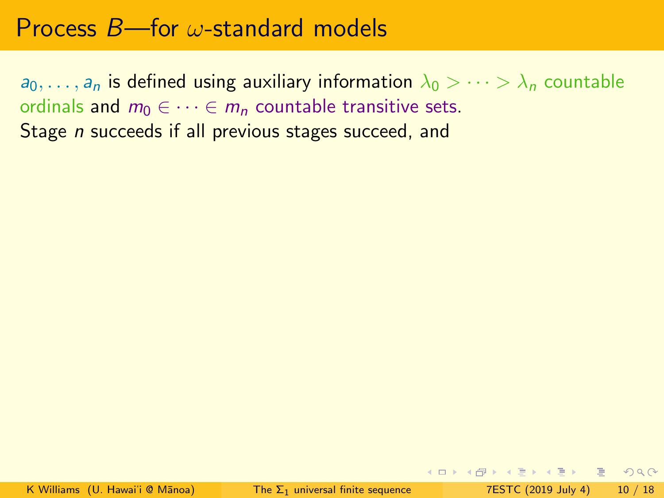$a_0, \ldots, a_n$  is defined using auxiliary information  $\lambda_0 > \cdots > \lambda_n$  countable ordinals and  $m_0 \in \cdots \in m_n$  countable transitive sets. Stage *n* succeeds if all previous stages succeed, and

K ロ ▶ K 個 ▶ K ミ ▶ K ミ ▶ │ ミ │ K 9 Q Q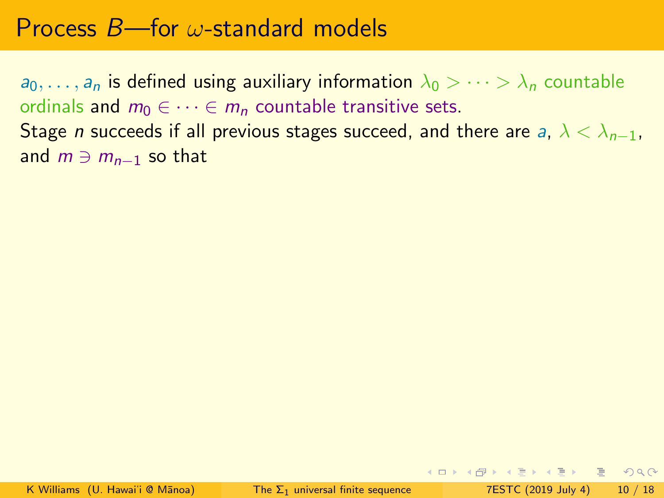$a_0, \ldots, a_n$  is defined using auxiliary information  $\lambda_0 > \cdots > \lambda_n$  countable ordinals and  $m_0 \in \cdots \in m_n$  countable transitive sets. Stage *n* succeeds if all previous stages succeed, and there are a,  $\lambda < \lambda_{n-1}$ , and  $m \ni m_{n-1}$  so that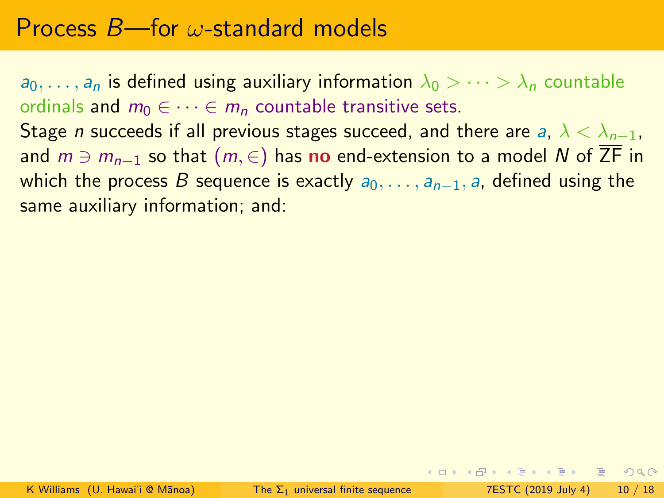$a_0, \ldots, a_n$  is defined using auxiliary information  $\lambda_0 > \cdots > \lambda_n$  countable ordinals and  $m_0 \in \cdots \in m_n$  countable transitive sets. Stage *n* succeeds if all previous stages succeed, and there are a,  $\lambda < \lambda_{n-1}$ , and  $m \ni m_{n-1}$  so that  $(m, ∈)$  has no end-extension to a model N of  $\overline{ZF}$  in which the process B sequence is exactly  $a_0, \ldots, a_{n-1}$ , a, defined using the same auxiliary information; and:

**KOD KARD KED KED ARA**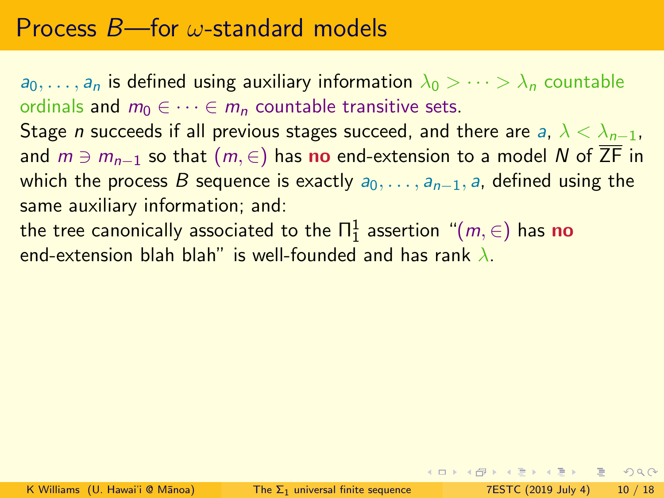$a_0, \ldots, a_n$  is defined using auxiliary information  $\lambda_0 > \cdots > \lambda_n$  countable ordinals and  $m_0 \in \cdots \in m_n$  countable transitive sets. Stage *n* succeeds if all previous stages succeed, and there are a,  $\lambda < \lambda_{n-1}$ , and  $m \ni m_{n-1}$  so that  $(m, \in)$  has no end-extension to a model N of  $\overline{ZF}$  in

which the process B sequence is exactly  $a_0, \ldots, a_{n-1}$ , a, defined using the same auxiliary information; and:

the tree canonically associated to the  $\Pi^1_1$  assertion  $\,$  " $(m,\in)$  has  ${\bf no}$ end-extension blah blah" is well-founded and has rank  $\lambda$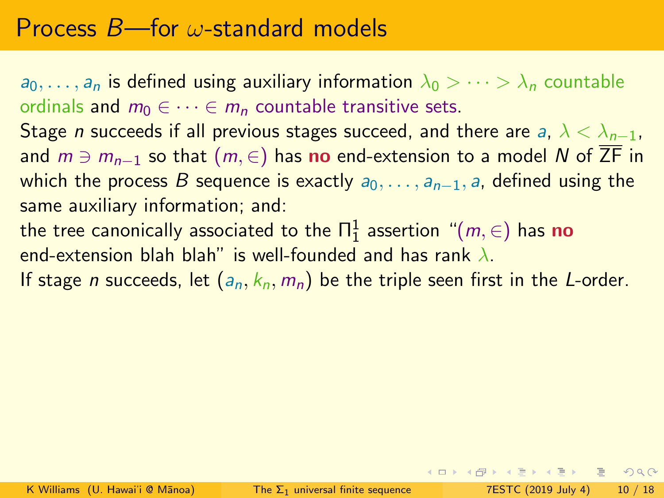$a_0, \ldots, a_n$  is defined using auxiliary information  $\lambda_0 > \cdots > \lambda_n$  countable ordinals and  $m_0 \in \cdots \in m_n$  countable transitive sets.

Stage *n* succeeds if all previous stages succeed, and there are a,  $\lambda < \lambda_{n-1}$ , and  $m \ni m_{n-1}$  so that  $(m, ∈)$  has no end-extension to a model N of  $\overline{ZF}$  in which the process B sequence is exactly  $a_0, \ldots, a_{n-1}$ , a, defined using the same auxiliary information; and:

the tree canonically associated to the  $\Pi^1_1$  assertion  $\,$  " $(m,\in)$  has  ${\bf no}$ end-extension blah blah" is well-founded and has rank  $\lambda$ .

If stage *n* succeeds, let  $(a_n, k_n, m_n)$  be the triple seen first in the *L*-order.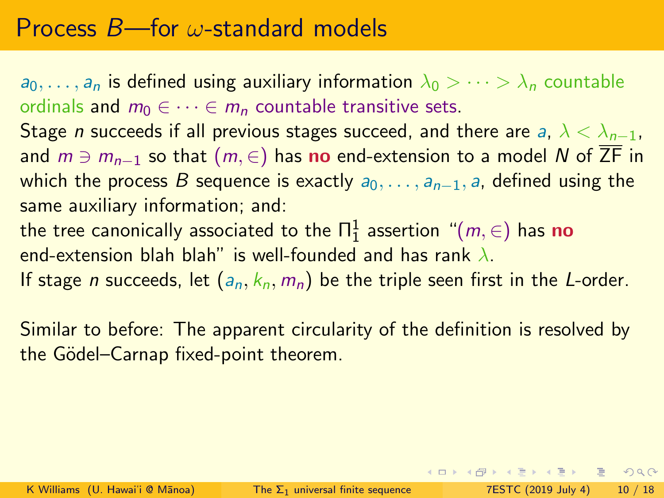$a_0, \ldots, a_n$  is defined using auxiliary information  $\lambda_0 > \cdots > \lambda_n$  countable ordinals and  $m_0 \in \cdots \in m_n$  countable transitive sets.

Stage *n* succeeds if all previous stages succeed, and there are a,  $\lambda < \lambda_{n-1}$ , and  $m \ni m_{n-1}$  so that  $(m, \in)$  has no end-extension to a model N of  $\overline{ZF}$  in which the process B sequence is exactly  $a_0, \ldots, a_{n-1}$ , a, defined using the same auxiliary information; and:

the tree canonically associated to the  $\Pi^1_1$  assertion  $\,$  " $(m,\in)$  has  ${\bf no}$ end-extension blah blah" is well-founded and has rank  $\lambda$ .

If stage *n* succeeds, let  $(a_n, k_n, m_n)$  be the triple seen first in the *L*-order.

Similar to before: The apparent circularity of the definition is resolved by the Gödel–Carnap fixed-point theorem.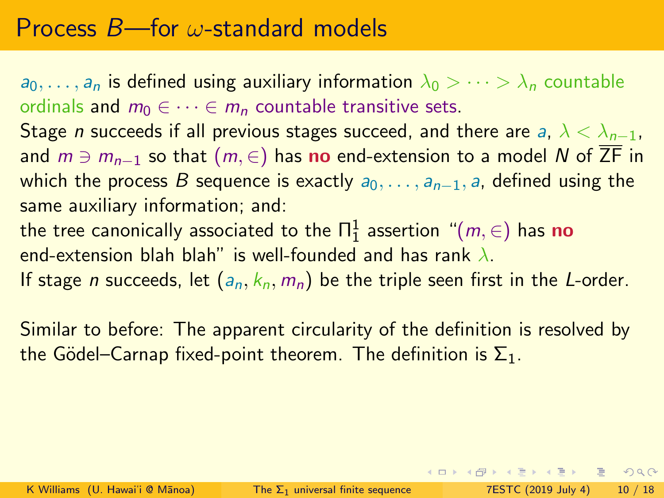$a_0, \ldots, a_n$  is defined using auxiliary information  $\lambda_0 > \cdots > \lambda_n$  countable ordinals and  $m_0 \in \cdots \in m_n$  countable transitive sets.

Stage *n* succeeds if all previous stages succeed, and there are a,  $\lambda < \lambda_{n-1}$ , and  $m \ni m_{n-1}$  so that  $(m, \in)$  has no end-extension to a model N of  $\overline{ZF}$  in which the process B sequence is exactly  $a_0, \ldots, a_{n-1}$ , a, defined using the same auxiliary information; and:

the tree canonically associated to the  $\Pi^1_1$  assertion  $\,$  " $(m,\in)$  has  ${\bf no}$ end-extension blah blah" is well-founded and has rank  $\lambda$ .

If stage *n* succeeds, let  $(a_n, k_n, m_n)$  be the triple seen first in the *L*-order.

Similar to before: The apparent circularity of the definition is resolved by the Gödel–Carnap fixed-point theorem. The definition is  $\Sigma_1$ .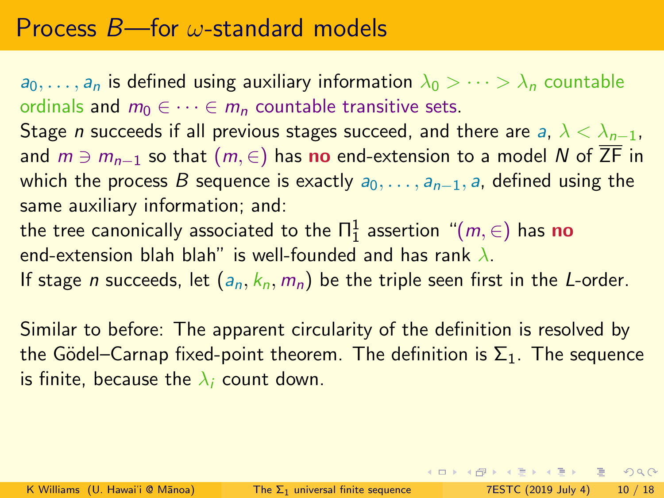$a_0, \ldots, a_n$  is defined using auxiliary information  $\lambda_0 > \cdots > \lambda_n$  countable ordinals and  $m_0 \in \cdots \in m_n$  countable transitive sets.

Stage *n* succeeds if all previous stages succeed, and there are a,  $\lambda < \lambda_{n-1}$ , and  $m \ni m_{n-1}$  so that  $(m, \in)$  has no end-extension to a model N of  $\overline{ZF}$  in which the process B sequence is exactly  $a_0, \ldots, a_{n-1}$ , a, defined using the same auxiliary information; and:

the tree canonically associated to the  $\Pi^1_1$  assertion  $\,$  " $(m,\in)$  has  ${\bf no}$ end-extension blah blah" is well-founded and has rank  $\lambda$ .

If stage *n* succeeds, let  $(a_n, k_n, m_n)$  be the triple seen first in the *L*-order.

Similar to before: The apparent circularity of the definition is resolved by the Gödel–Carnap fixed-point theorem. The definition is  $\Sigma_1$ . The sequence is finite, because the  $\lambda_i$  count down.

K ロ ▶ K 個 ▶ K 로 ▶ K 로 ▶ - 로 - K 9 Q @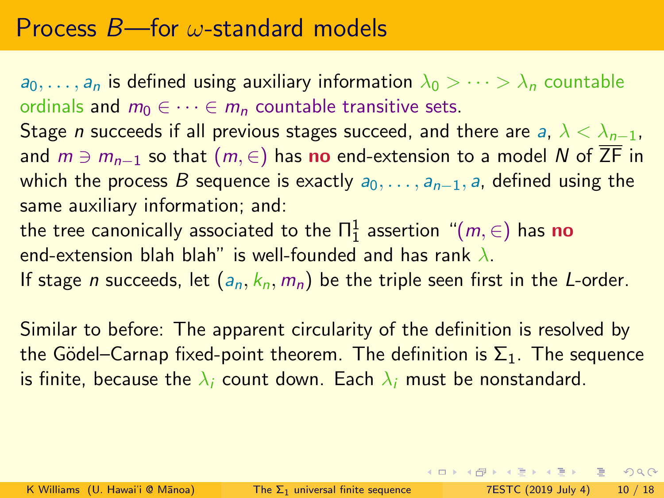$a_0, \ldots, a_n$  is defined using auxiliary information  $\lambda_0 > \cdots > \lambda_n$  countable ordinals and  $m_0 \in \cdots \in m_n$  countable transitive sets.

Stage *n* succeeds if all previous stages succeed, and there are a,  $\lambda < \lambda_{n-1}$ , and  $m \ni m_{n-1}$  so that  $(m, \in)$  has no end-extension to a model N of  $\overline{ZF}$  in which the process B sequence is exactly  $a_0, \ldots, a_{n-1}$ , a, defined using the same auxiliary information; and:

the tree canonically associated to the  $\Pi^1_1$  assertion  $\,$  " $(m,\in)$  has  ${\bf no}$ end-extension blah blah" is well-founded and has rank  $\lambda$ .

If stage *n* succeeds, let  $(a_n, k_n, m_n)$  be the triple seen first in the *L*-order.

Similar to before: The apparent circularity of the definition is resolved by the Gödel–Carnap fixed-point theorem. The definition is  $\Sigma_1$ . The sequence is finite, because the  $\lambda_i$  count down. Each  $\lambda_i$  must be nonstandard.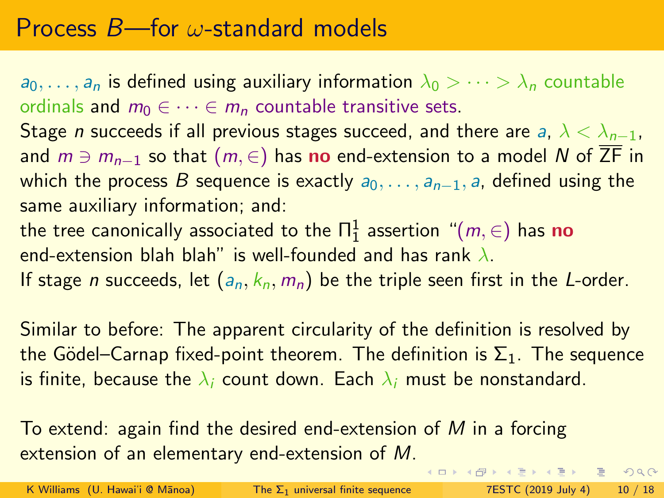$a_0, \ldots, a_n$  is defined using auxiliary information  $\lambda_0 > \cdots > \lambda_n$  countable ordinals and  $m_0 \in \cdots \in m_n$  countable transitive sets.

Stage *n* succeeds if all previous stages succeed, and there are a,  $\lambda < \lambda_{n-1}$ , and  $m \ni m_{n-1}$  so that  $(m, \in)$  has no end-extension to a model N of  $\overline{ZF}$  in which the process B sequence is exactly  $a_0, \ldots, a_{n-1}$ , a, defined using the same auxiliary information; and:

the tree canonically associated to the  $\Pi^1_1$  assertion  $\,$  " $(m,\in)$  has  ${\bf no}$ end-extension blah blah" is well-founded and has rank  $\lambda$ .

If stage *n* succeeds, let  $(a_n, k_n, m_n)$  be the triple seen first in the *L*-order.

Similar to before: The apparent circularity of the definition is resolved by the Gödel–Carnap fixed-point theorem. The definition is  $\Sigma_1$ . The sequence is finite, because the  $\lambda_i$  count down. Each  $\lambda_i$  must be nonstandard.

To extend: again find the desired end-extension of M in a forcing extension of an elementary end-extension of M.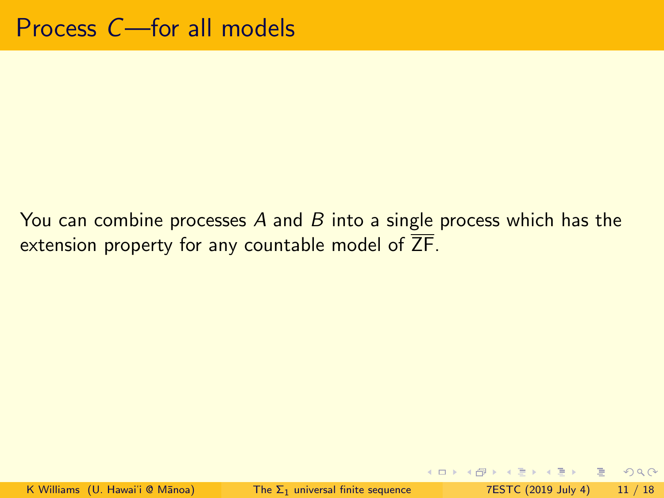You can combine processes A and B into a single process which has the extension property for any countable model of  $\overline{ZF}$ .

K ロ ▶ K 個 ▶ K ミ ▶ K ミ ▶ │ ミ │ K 9 Q Q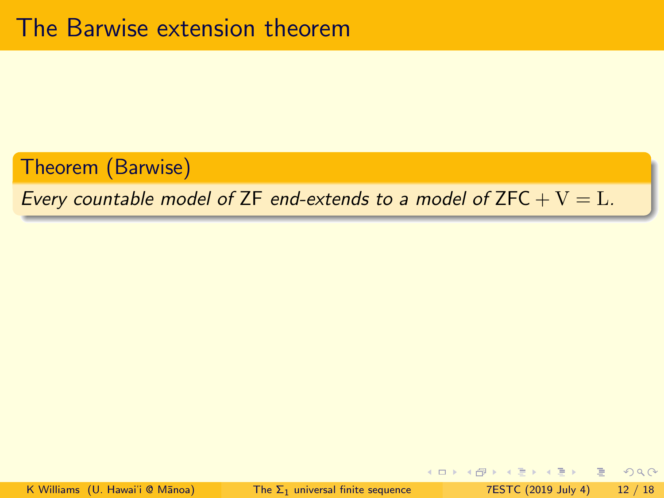Theorem (Barwise)

Every countable model of ZF end-extends to a model of ZFC  $+$  V = L.

 $\Omega$ 

4 ロ → 4 何 →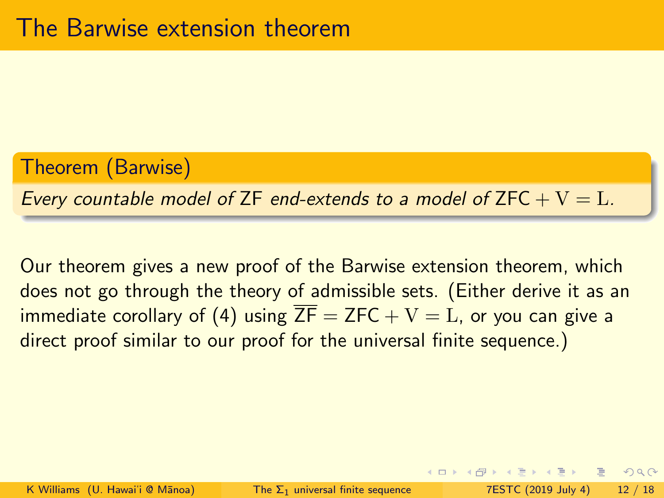#### Theorem (Barwise)

Every countable model of ZF end-extends to a model of ZFC  $+V = L$ .

Our theorem gives a new proof of the Barwise extension theorem, which does not go through the theory of admissible sets. (Either derive it as an immediate corollary of (4) using  $\overline{ZF} = \overline{ZFC} + V = L$ , or you can give a direct proof similar to our proof for the universal finite sequence.)

 $QQ$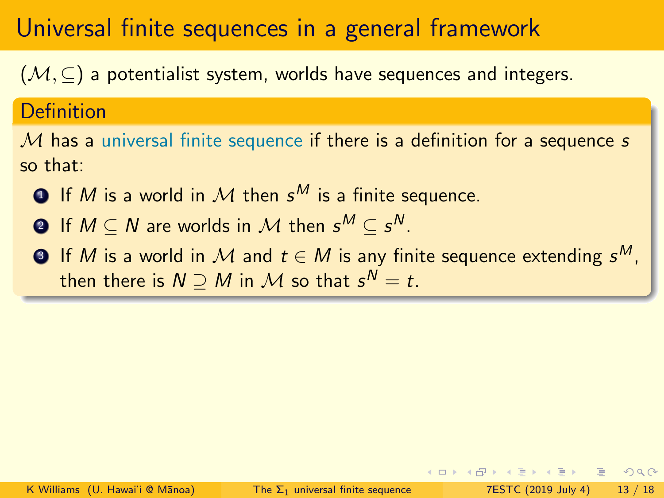$(M, \subseteq)$  a potentialist system, worlds have sequences and integers.

#### Definition

 $M$  has a universal finite sequence if there is a definition for a sequence  $s$ so that:

- $\textbf{D}$  If  $M$  is a world in  $\mathcal M$  then  $\textbf{s}^M$  is a finite sequence.
- $\mathbf{2}$  If  $M\subseteq N$  are worlds in  $\mathcal M$  then  $\mathsf s^M\subseteq\mathsf s^N.$
- $\bullet$  If  $M$  is a world in  $\mathcal M$  and  $t\in M$  is any finite sequence extending  $s^M,$ then there is  $N\supseteq M$  in  ${\cal M}$  so that  ${\mathsf s}^{\sf N}={\mathsf t}.$

 $E^*$   $A^*$   $E^*$   $B^*$   $C^*$   $D^*$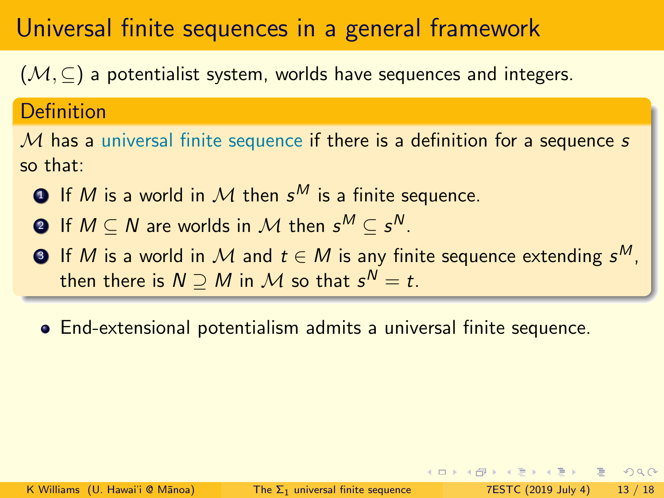$(M, \subseteq)$  a potentialist system, worlds have sequences and integers.

#### Definition

 $M$  has a universal finite sequence if there is a definition for a sequence s so that:

- $\textbf{D}$  If  $M$  is a world in  $\mathcal M$  then  $\textbf{s}^M$  is a finite sequence.
- $\mathbf{2}$  If  $M\subseteq N$  are worlds in  $\mathcal M$  then  $\mathsf s^M\subseteq\mathsf s^N.$
- $\bullet$  If  $M$  is a world in  $\mathcal M$  and  $t\in M$  is any finite sequence extending  $s^M,$ then there is  $N\supseteq M$  in  ${\cal M}$  so that  ${\mathsf s}^{\sf N}={\mathsf t}.$
- End-extensional potentialism admits a universal finite sequence.

KENKEN E MAG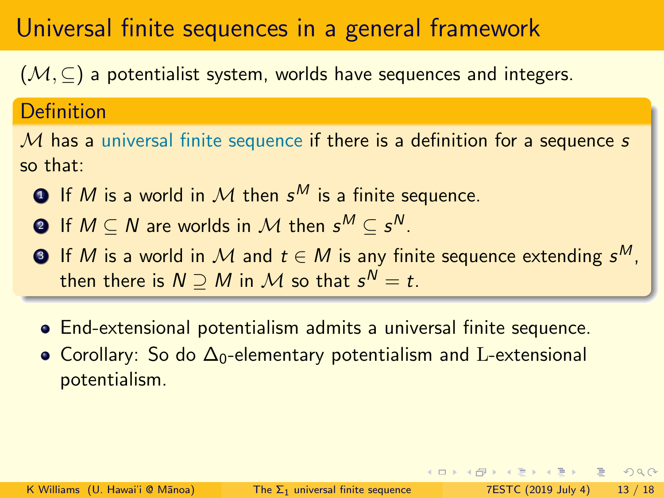$(M, \subseteq)$  a potentialist system, worlds have sequences and integers.

#### Definition

 $M$  has a universal finite sequence if there is a definition for a sequence s so that:

- $\textbf{D}$  If  $M$  is a world in  $\mathcal M$  then  $\textbf{s}^M$  is a finite sequence.
- $\mathbf{2}$  If  $M\subseteq N$  are worlds in  $\mathcal M$  then  $\mathsf s^M\subseteq\mathsf s^N.$
- $\bullet$  If  $M$  is a world in  $\mathcal M$  and  $t\in M$  is any finite sequence extending  $s^M,$ then there is  $N\supseteq M$  in  ${\cal M}$  so that  ${\mathsf s}^{\sf N}={\mathsf t}.$
- End-extensional potentialism admits a universal finite sequence.
- Corollary: So do Δ<sub>0</sub>-elementary potentialism and L-extensional potentialism.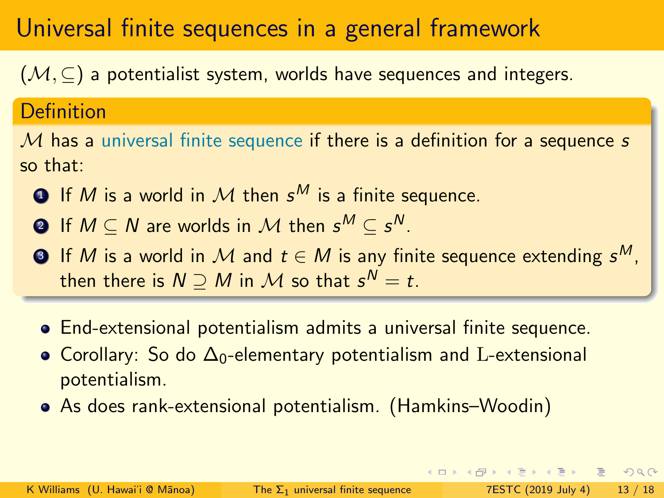$(M, \subseteq)$  a potentialist system, worlds have sequences and integers.

#### Definition

 $M$  has a universal finite sequence if there is a definition for a sequence s so that:

- $\textbf{D}$  If  $M$  is a world in  $\mathcal M$  then  $\textbf{s}^M$  is a finite sequence.
- $\mathbf{2}$  If  $M\subseteq N$  are worlds in  $\mathcal M$  then  $\mathsf s^M\subseteq\mathsf s^N.$
- $\bullet$  If  $M$  is a world in  $\mathcal M$  and  $t\in M$  is any finite sequence extending  $s^M,$ then there is  $N\supseteq M$  in  ${\cal M}$  so that  ${\mathsf s}^{\sf N}={\mathsf t}.$
- End-extensional potentialism admits a universal finite sequence.
- Corollary: So do Δ<sub>0</sub>-elementary potentialism and L-extensional potentialism.
- As does rank-extensional potentialism. (Hamkins–Woodin)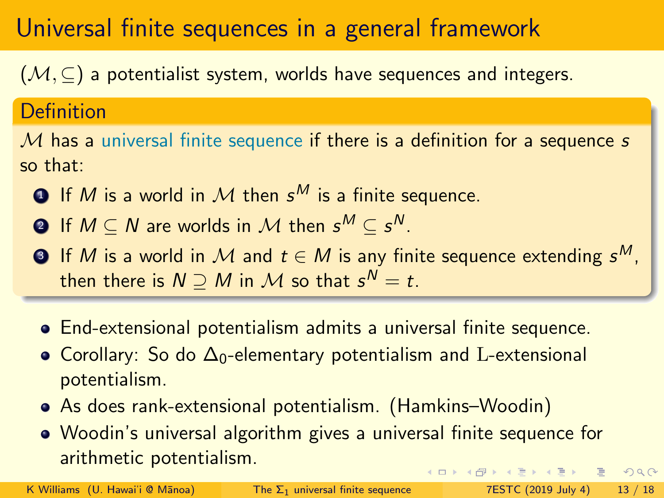$(M, \subseteq)$  a potentialist system, worlds have sequences and integers.

#### Definition

 $M$  has a universal finite sequence if there is a definition for a sequence s so that:

- $\textbf{D}$  If  $M$  is a world in  $\mathcal M$  then  $\textbf{s}^M$  is a finite sequence.
- $\mathbf{2}$  If  $M\subseteq N$  are worlds in  $\mathcal M$  then  $\mathsf s^M\subseteq\mathsf s^N.$
- $\bullet$  If  $M$  is a world in  $\mathcal M$  and  $t\in M$  is any finite sequence extending  $s^M,$ then there is  $N\supseteq M$  in  ${\cal M}$  so that  ${\mathsf s}^{\sf N}={\mathsf t}.$
- End-extensional potentialism admits a universal finite sequence.
- Corollary: So do Δ<sub>0</sub>-elementary potentialism and L-extensional potentialism.
- As does rank-extensional potentialism. (Hamkins–Woodin)
- Woodin's universal algorithm gives a universal finite sequence for arithmetic potentialism. **KOD KAD KED KED E VAR**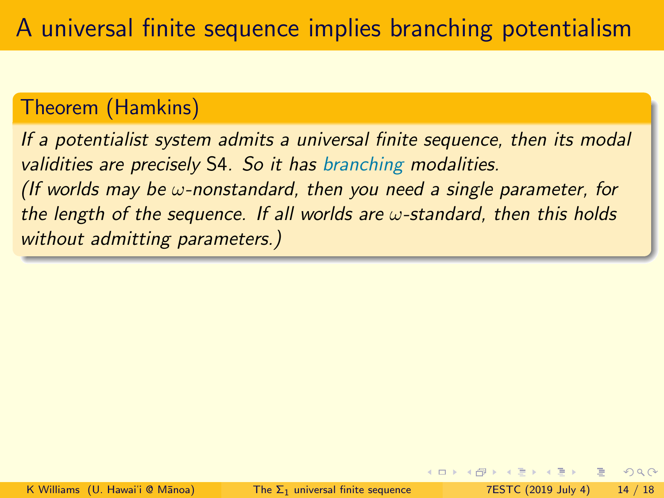#### Theorem (Hamkins)

If a potentialist system admits a universal finite sequence, then its modal validities are precisely S4. So it has branching modalities. (If worlds may be  $\omega$ -nonstandard, then you need a single parameter, for the length of the sequence. If all worlds are  $\omega$ -standard, then this holds without admitting parameters.)

 $2Q$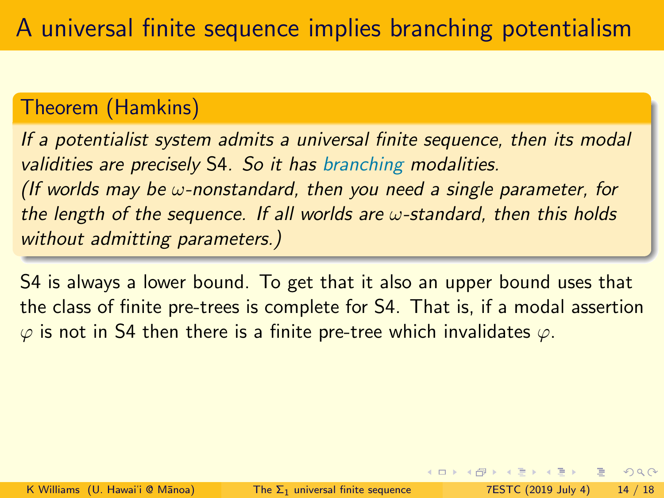#### Theorem (Hamkins)

If a potentialist system admits a universal finite sequence, then its modal validities are precisely S4. So it has branching modalities. (If worlds may be  $\omega$ -nonstandard, then you need a single parameter, for the length of the sequence. If all worlds are  $\omega$ -standard, then this holds without admitting parameters.)

S4 is always a lower bound. To get that it also an upper bound uses that the class of finite pre-trees is complete for S4. That is, if a modal assertion  $\varphi$  is not in S4 then there is a finite pre-tree which invalidates  $\varphi$ .

 $QQ$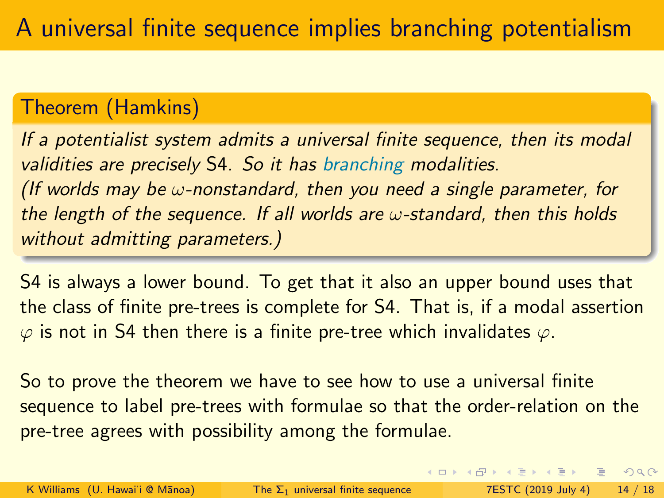#### Theorem (Hamkins)

If a potentialist system admits a universal finite sequence, then its modal validities are precisely S4. So it has branching modalities. (If worlds may be  $\omega$ -nonstandard, then you need a single parameter, for the length of the sequence. If all worlds are  $\omega$ -standard, then this holds without admitting parameters.)

S4 is always a lower bound. To get that it also an upper bound uses that the class of finite pre-trees is complete for S4. That is, if a modal assertion  $\varphi$  is not in S4 then there is a finite pre-tree which invalidates  $\varphi$ .

So to prove the theorem we have to see how to use a universal finite sequence to label pre-trees with formulae so that the order-relation on the pre-tree agrees with possibility among the formulae.

 $QQ$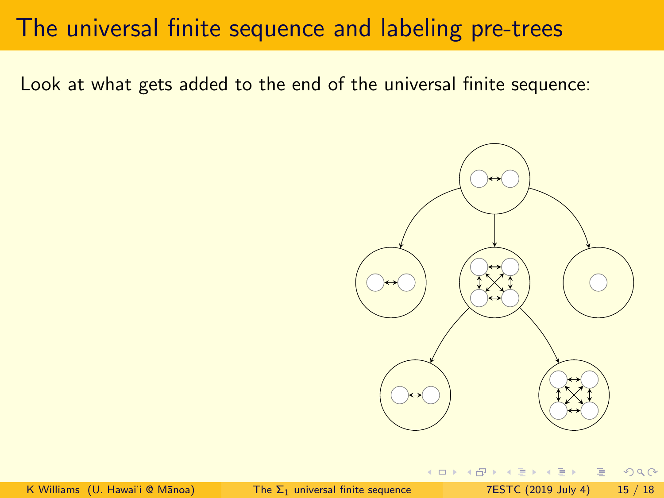#### The universal finite sequence and labeling pre-trees

Look at what gets added to the end of the universal finite sequence:



 $QQ$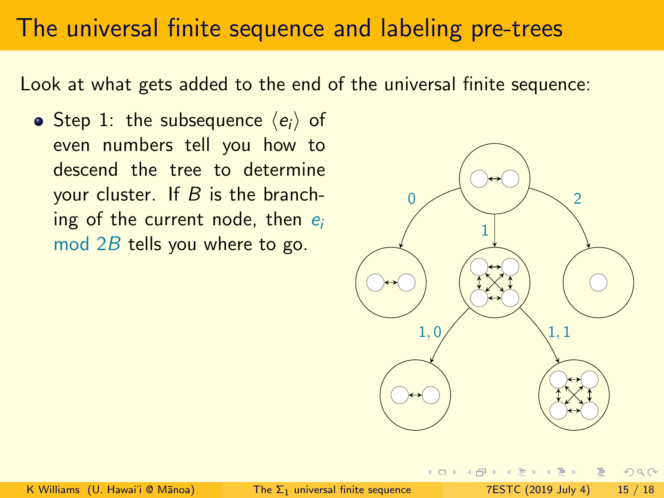#### The universal finite sequence and labeling pre-trees

Look at what gets added to the end of the universal finite sequence:

• Step 1: the subsequence  $\langle e_i \rangle$  of even numbers tell you how to descend the tree to determine your cluster. If  $B$  is the branching of the current node, then  $e_i$ mod 2B tells you where to go.



 $2Q$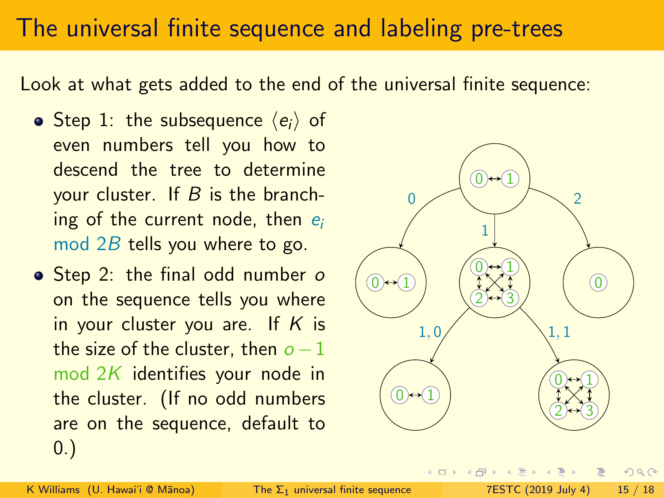#### The universal finite sequence and labeling pre-trees

Look at what gets added to the end of the universal finite sequence:

- Step 1: the subsequence  $\langle e_i \rangle$  of even numbers tell you how to descend the tree to determine your cluster. If  $B$  is the branching of the current node, then  $e_i$ mod 2B tells you where to go.
- Step 2: the final odd number o on the sequence tells you where in your cluster you are. If  $K$  is the size of the cluster, then  $o-1$ mod 2K identifies your node in the cluster. (If no odd numbers are on the sequence, default to 0.)



 $2Q$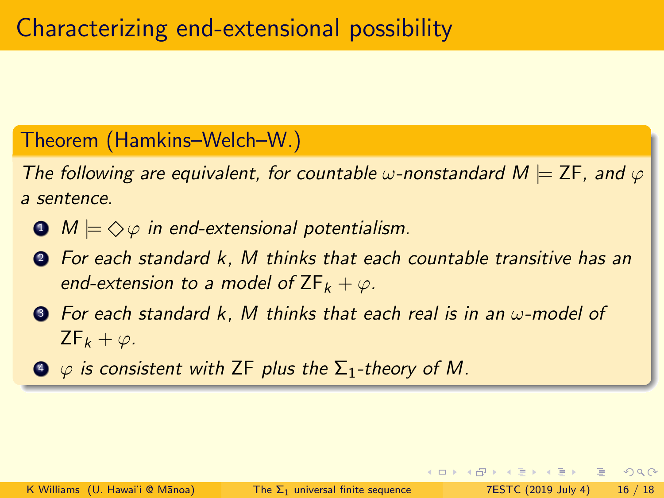#### Theorem (Hamkins–Welch–W.)

The following are equivalent, for countable  $\omega$ -nonstandard  $M \models \mathsf{ZF}$ , and  $\varphi$ a sentence.

- $\bullet$   $M \models \diamondsuit \varphi$  in end-extensional potentialism.
- <sup>2</sup> For each standard k, M thinks that each countable transitive has an end-extension to a model of  $ZF_k + \varphi$ .
- $\odot$  For each standard k, M thinks that each real is in an  $\omega$ -model of  $ZF_k + \varphi$ .
- $\Phi$   $\varphi$  is consistent with ZF plus the  $\Sigma_1$ -theory of M.

 $QQ$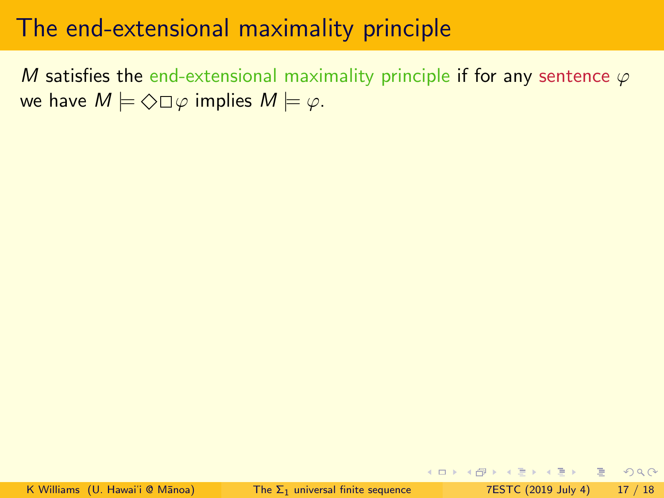M satisfies the end-extensional maximality principle if for any sentence  $\varphi$ we have  $M \models \Diamond \Box \varphi$  implies  $M \models \varphi$ .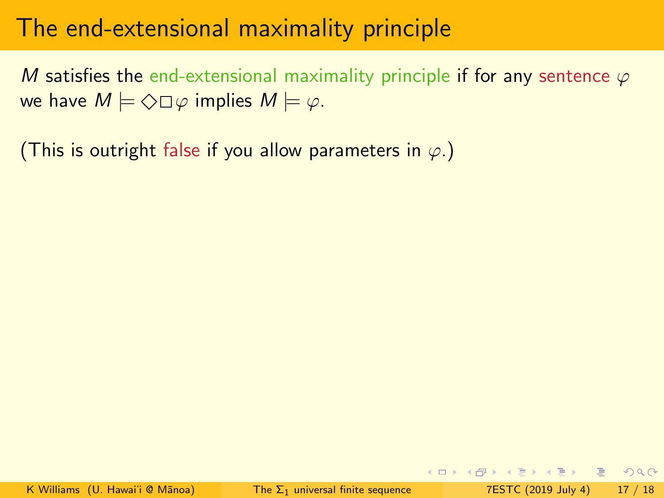M satisfies the end-extensional maximality principle if for any sentence  $\varphi$ we have  $M \models \Diamond \Box \varphi$  implies  $M \models \varphi$ .

(This is outright false if you allow parameters in  $\varphi$ .)

**KOD KARD KED KED ARA**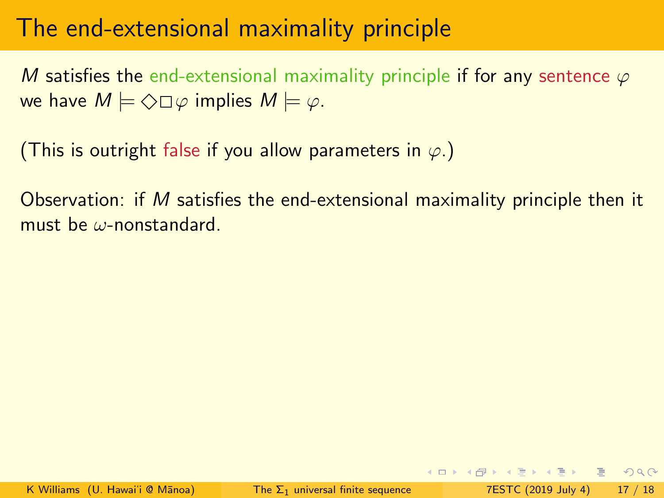M satisfies the end-extensional maximality principle if for any sentence  $\varphi$ we have  $M \models \Diamond \Box \varphi$  implies  $M \models \varphi$ .

(This is outright false if you allow parameters in  $\varphi$ .)

Observation: if M satisfies the end-extensional maximality principle then it must be ω-nonstandard.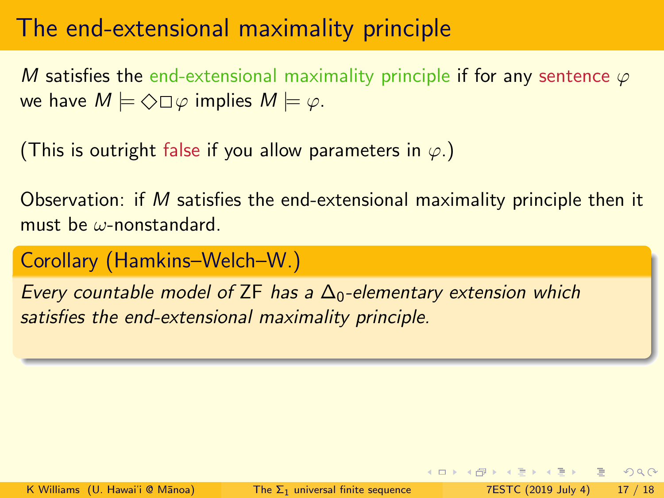M satisfies the end-extensional maximality principle if for any sentence  $\varphi$ we have  $M \models \Diamond \Box \varphi$  implies  $M \models \varphi$ .

(This is outright false if you allow parameters in  $\varphi$ .)

Observation: if M satisfies the end-extensional maximality principle then it must be ω-nonstandard.

Corollary (Hamkins–Welch–W.)

Every countable model of ZF has a  $\Delta_0$ -elementary extension which satisfies the end-extensional maximality principle.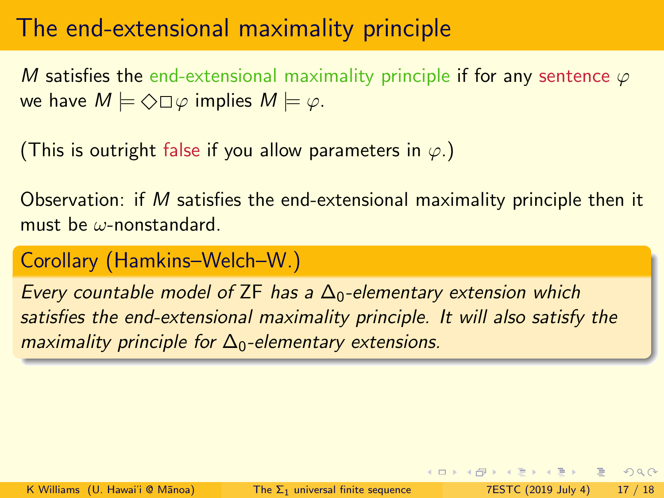M satisfies the end-extensional maximality principle if for any sentence  $\varphi$ we have  $M \models \Diamond \Box \varphi$  implies  $M \models \varphi$ .

(This is outright false if you allow parameters in  $\varphi$ .)

Observation: if M satisfies the end-extensional maximality principle then it must be ω-nonstandard.

Corollary (Hamkins–Welch–W.)

Every countable model of ZF has a  $\Delta_0$ -elementary extension which satisfies the end-extensional maximality principle. It will also satisfy the maximality principle for  $\Delta_0$ -elementary extensions.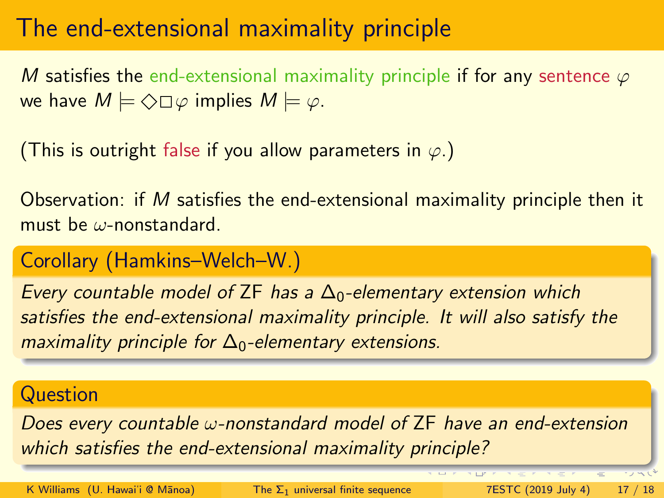M satisfies the end-extensional maximality principle if for any sentence  $\varphi$ we have  $M \models \Diamond \Box \varphi$  implies  $M \models \varphi$ .

(This is outright false if you allow parameters in  $\varphi$ .)

Observation: if M satisfies the end-extensional maximality principle then it must be ω-nonstandard.

#### Corollary (Hamkins–Welch–W.)

Every countable model of ZF has a  $\Delta_0$ -elementary extension which satisfies the end-extensional maximality principle. It will also satisfy the maximality principle for  $\Delta_0$ -elementary extensions.

#### **Question**

Does every countable  $\omega$ -nonstandard model of  $ZF$  have an end-extension which satisfies the end-extensional maximality principle?